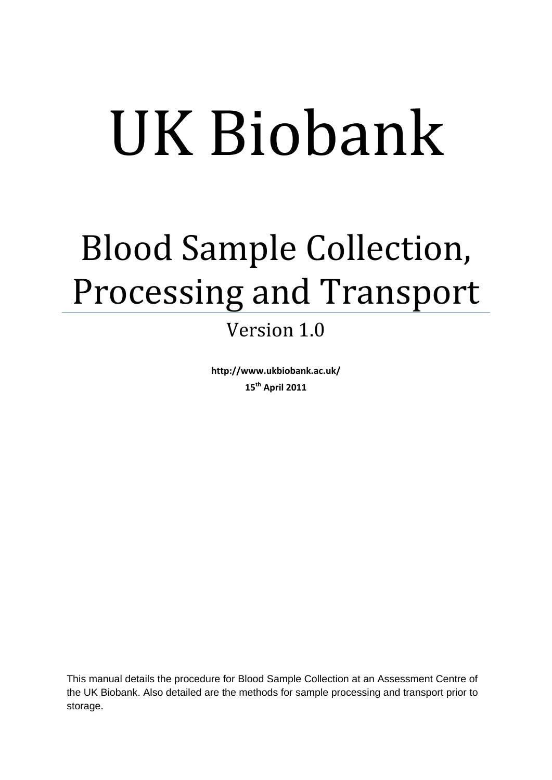# UK Biobank

# Blood Sample Collection, Processing and Transport

# Version 1.0

**http://www.ukbiobank.ac.uk/ 15th April 2011**

This manual details the procedure for Blood Sample Collection at an Assessment Centre of the UK Biobank. Also detailed are the methods for sample processing and transport prior to storage.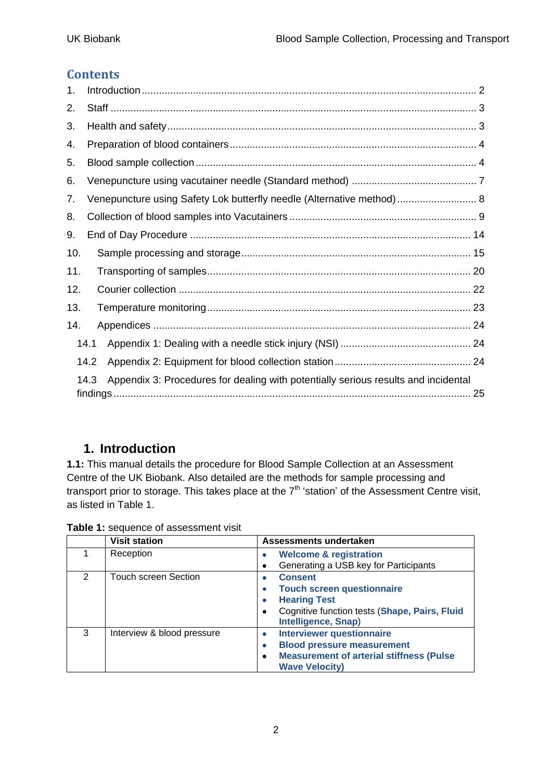#### **Contents**

| 1.  |                                                                                            |  |
|-----|--------------------------------------------------------------------------------------------|--|
| 2.  |                                                                                            |  |
| 3.  |                                                                                            |  |
| 4.  |                                                                                            |  |
| 5.  |                                                                                            |  |
| 6.  |                                                                                            |  |
| 7.  | Venepuncture using Safety Lok butterfly needle (Alternative method) 8                      |  |
| 8.  |                                                                                            |  |
| 9.  |                                                                                            |  |
| 10. |                                                                                            |  |
| 11. |                                                                                            |  |
| 12. |                                                                                            |  |
| 13. |                                                                                            |  |
| 14. |                                                                                            |  |
|     | 14.1                                                                                       |  |
|     | 14.2                                                                                       |  |
|     | Appendix 3: Procedures for dealing with potentially serious results and incidental<br>14.3 |  |

# <span id="page-1-0"></span>**1. Introduction**

**1.1:** This manual details the procedure for Blood Sample Collection at an Assessment Centre of the UK Biobank. Also detailed are the methods for sample processing and transport prior to storage. This takes place at the  $7<sup>th</sup>$  'station' of the Assessment Centre visit, as listed in Table 1.

|               | <b>Visit station</b>        | Assessments undertaken                                               |
|---------------|-----------------------------|----------------------------------------------------------------------|
|               | Reception                   | <b>Welcome &amp; registration</b>                                    |
|               |                             | Generating a USB key for Participants                                |
| $\mathcal{P}$ | <b>Touch screen Section</b> | <b>Consent</b>                                                       |
|               |                             | <b>Touch screen questionnaire</b>                                    |
|               |                             | <b>Hearing Test</b>                                                  |
|               |                             | Cognitive function tests (Shape, Pairs, Fluid<br>Intelligence, Snap) |
| 3             | Interview & blood pressure  | <b>Interviewer questionnaire</b>                                     |
|               |                             | <b>Blood pressure measurement</b><br>۰                               |
|               |                             | <b>Measurement of arterial stiffness (Pulse</b><br>$\bullet$         |
|               |                             | <b>Wave Velocity)</b>                                                |

**Table 1:** sequence of assessment visit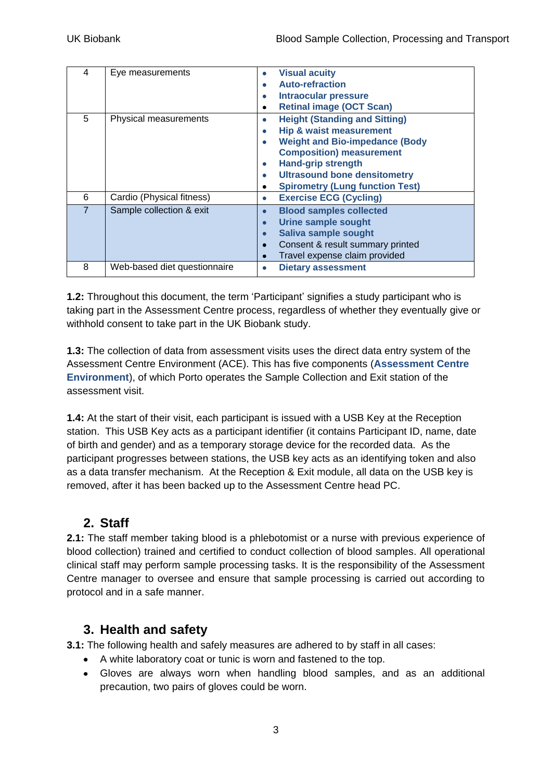| 4<br>5         | Eye measurements<br>Physical measurements | <b>Visual acuity</b><br><b>Auto-refraction</b><br>$\bullet$<br><b>Intraocular pressure</b><br>۰<br><b>Retinal image (OCT Scan)</b><br>٠<br><b>Height (Standing and Sitting)</b><br>$\bullet$<br><b>Hip &amp; waist measurement</b><br>٠<br><b>Weight and Bio-impedance (Body</b><br>$\bullet$<br><b>Composition) measurement</b><br><b>Hand-grip strength</b><br>$\bullet$<br><b>Ultrasound bone densitometry</b><br>$\bullet$<br><b>Spirometry (Lung function Test)</b><br>٠ |
|----------------|-------------------------------------------|-------------------------------------------------------------------------------------------------------------------------------------------------------------------------------------------------------------------------------------------------------------------------------------------------------------------------------------------------------------------------------------------------------------------------------------------------------------------------------|
| 6              | Cardio (Physical fitness)                 | <b>Exercise ECG (Cycling)</b><br>$\bullet$                                                                                                                                                                                                                                                                                                                                                                                                                                    |
| $\overline{7}$ | Sample collection & exit                  | <b>Blood samples collected</b><br>$\bullet$<br><b>Urine sample sought</b><br>$\bullet$<br>Saliva sample sought<br>$\bullet$<br>Consent & result summary printed<br>$\bullet$<br>Travel expense claim provided                                                                                                                                                                                                                                                                 |
| 8              | Web-based diet questionnaire              | <b>Dietary assessment</b>                                                                                                                                                                                                                                                                                                                                                                                                                                                     |

**1.2:** Throughout this document, the term "Participant" signifies a study participant who is taking part in the Assessment Centre process, regardless of whether they eventually give or withhold consent to take part in the UK Biobank study.

**1.3:** The collection of data from assessment visits uses the direct data entry system of the Assessment Centre Environment (ACE). This has five components (**Assessment Centre Environment**), of which Porto operates the Sample Collection and Exit station of the assessment visit.

**1.4:** At the start of their visit, each participant is issued with a USB Key at the Reception station. This USB Key acts as a participant identifier (it contains Participant ID, name, date of birth and gender) and as a temporary storage device for the recorded data. As the participant progresses between stations, the USB key acts as an identifying token and also as a data transfer mechanism. At the Reception & Exit module, all data on the USB key is removed, after it has been backed up to the Assessment Centre head PC.

# <span id="page-2-0"></span>**2. Staff**

**2.1:** The staff member taking blood is a phlebotomist or a nurse with previous experience of blood collection) trained and certified to conduct collection of blood samples. All operational clinical staff may perform sample processing tasks. It is the responsibility of the Assessment Centre manager to oversee and ensure that sample processing is carried out according to protocol and in a safe manner.

# <span id="page-2-1"></span>**3. Health and safety**

**3.1:** The following health and safely measures are adhered to by staff in all cases:

- A white laboratory coat or tunic is worn and fastened to the top.
- Gloves are always worn when handling blood samples, and as an additional precaution, two pairs of gloves could be worn.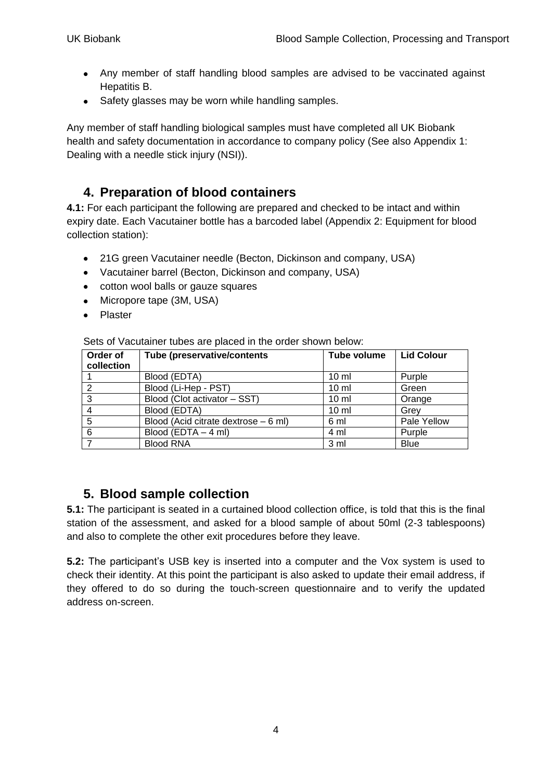- Any member of staff handling blood samples are advised to be vaccinated against Hepatitis B.
- Safety glasses may be worn while handling samples.

Any member of staff handling biological samples must have completed all UK Biobank health and safety documentation in accordance to company policy (See also [Appendix 1:](#page-23-1) [Dealing with a needle stick injury \(NSI\)\)](#page-23-1).

#### <span id="page-3-0"></span>**4. Preparation of blood containers**

**4.1:** For each participant the following are prepared and checked to be intact and within expiry date. Each Vacutainer bottle has a barcoded label [\(Appendix 2: Equipment for blood](#page-23-2)  [collection station\)](#page-23-2):

- 21G green Vacutainer needle (Becton, Dickinson and company, USA)
- Vacutainer barrel (Becton, Dickinson and company, USA)
- cotton wool balls or gauze squares
- Micropore tape (3M, USA)
- Plaster  $\bullet$

Sets of Vacutainer tubes are placed in the order shown below:

| Order of<br>collection | <b>Tube (preservative/contents)</b>  | Tube volume     | <b>Lid Colour</b> |
|------------------------|--------------------------------------|-----------------|-------------------|
|                        | Blood (EDTA)                         | 10 <sub>m</sub> | Purple            |
| ົ                      | Blood (Li-Hep - PST)                 | $10 \mathrm{m}$ | Green             |
| 3                      | Blood (Clot activator - SST)         | $10 \mathrm{m}$ | Orange            |
|                        | Blood (EDTA)                         | $10 \mathrm{m}$ | Grev              |
| 5                      | Blood (Acid citrate dextrose – 6 ml) | 6 ml            | Pale Yellow       |
| 6                      | Blood (EDTA $-$ 4 ml)                | 4 ml            | Purple            |
|                        | <b>Blood RNA</b>                     | 3 <sub>m</sub>  | <b>Blue</b>       |

## <span id="page-3-1"></span>**5. Blood sample collection**

**5.1:** The participant is seated in a curtained blood collection office, is told that this is the final station of the assessment, and asked for a blood sample of about 50ml (2-3 tablespoons) and also to complete the other exit procedures before they leave.

**5.2:** The participant"s USB key is inserted into a computer and the Vox system is used to check their identity. At this point the participant is also asked to update their email address, if they offered to do so during the touch-screen questionnaire and to verify the updated address on-screen.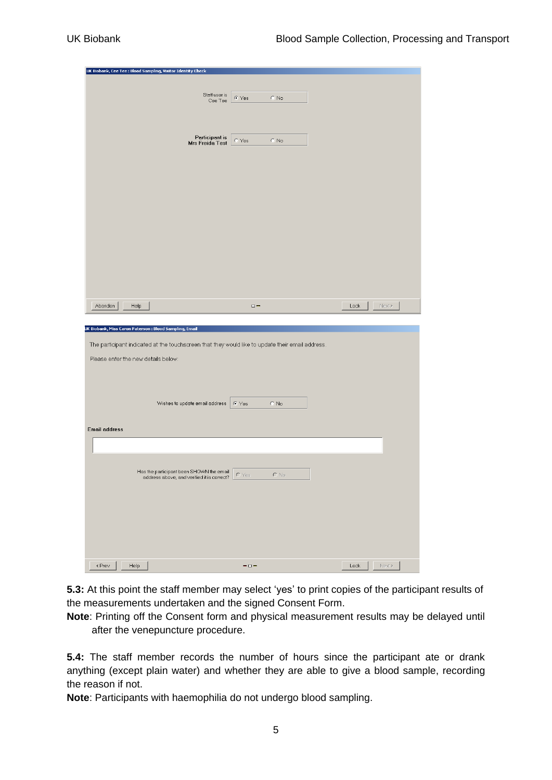| UK Biobank, Cee Tee : Blood Sampling, Visitor Identity Check                                     |                         |                                |
|--------------------------------------------------------------------------------------------------|-------------------------|--------------------------------|
|                                                                                                  |                         |                                |
| Staff user is                                                                                    | $C$ Yes<br>$C$ No       |                                |
| Cee Tee                                                                                          |                         |                                |
|                                                                                                  |                         |                                |
|                                                                                                  |                         |                                |
| Participant is<br>Mrs Freida Test                                                                | $C$ Yes<br>$C$ No       |                                |
|                                                                                                  |                         |                                |
|                                                                                                  |                         |                                |
|                                                                                                  |                         |                                |
|                                                                                                  |                         |                                |
|                                                                                                  |                         |                                |
|                                                                                                  |                         |                                |
|                                                                                                  |                         |                                |
|                                                                                                  |                         |                                |
|                                                                                                  |                         |                                |
|                                                                                                  |                         |                                |
|                                                                                                  |                         |                                |
|                                                                                                  |                         |                                |
| Abandon<br>Help                                                                                  | $\Box$ $\blacksquare$   | $\qquad \qquad$ Next ><br>Lock |
|                                                                                                  |                         |                                |
| JK Biobank, Miss Caron Paterson : Blood Sampling, Email                                          |                         |                                |
| The participant indicated at the touchscreen that they would like to update their email address. |                         |                                |
|                                                                                                  |                         |                                |
| Please enter the new details below:                                                              |                         |                                |
|                                                                                                  |                         |                                |
|                                                                                                  |                         |                                |
| Wishes to update email address                                                                   | $\in$ Yes<br>$\odot$ No |                                |
|                                                                                                  |                         |                                |
| <b>Email address</b>                                                                             |                         |                                |
|                                                                                                  |                         |                                |
|                                                                                                  |                         |                                |
|                                                                                                  |                         |                                |
| Has the participant been SHOWN the email<br>address above, and verified it is correct?           | C Yes<br>$C$ No.        |                                |
|                                                                                                  |                         |                                |
|                                                                                                  |                         |                                |
|                                                                                                  |                         |                                |
|                                                                                                  |                         |                                |
|                                                                                                  |                         |                                |
|                                                                                                  |                         |                                |
|                                                                                                  |                         |                                |
|                                                                                                  |                         |                                |

**5.3:** At this point the staff member may select 'yes' to print copies of the participant results of the measurements undertaken and the signed Consent Form.

**Note**: Printing off the Consent form and physical measurement results may be delayed until after the venepuncture procedure.

**5.4:** The staff member records the number of hours since the participant ate or drank anything (except plain water) and whether they are able to give a blood sample, recording the reason if not.

**Note**: Participants with haemophilia do not undergo blood sampling.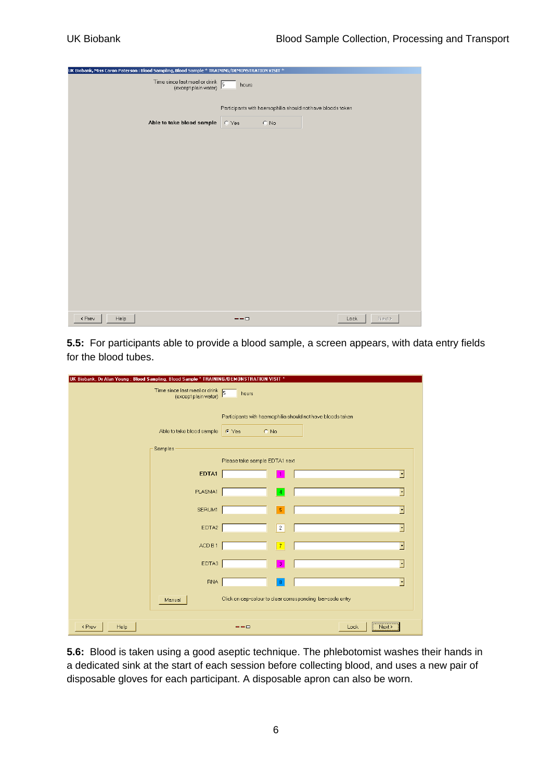| UK Biobank, Miss Caron Paterson : Blood Sampling, Blood Sample * TRAINING/DEMONSTRATION VISIT * |                                                                               |                |
|-------------------------------------------------------------------------------------------------|-------------------------------------------------------------------------------|----------------|
| Time since last meal or drink<br>(except plain water)                                           | hours                                                                         |                |
| Able to take blood sample                                                                       | Participants with haemophilia should not have bloods taken<br>$C$ No<br>C Yes |                |
|                                                                                                 |                                                                               |                |
|                                                                                                 |                                                                               |                |
|                                                                                                 |                                                                               |                |
|                                                                                                 |                                                                               |                |
|                                                                                                 |                                                                               |                |
|                                                                                                 |                                                                               |                |
|                                                                                                 |                                                                               |                |
| < Prev<br>Help                                                                                  | $- - - -$                                                                     | Next ><br>Lock |

**5.5:** For participants able to provide a blood sample, a screen appears, with data entry fields for the blood tubes.

| UK Biobank, Dr Alan Young : Blood Sampling, Blood Sample * TRAINING/DEMONSTRATION VISIT * |                                                                               |  |  |
|-------------------------------------------------------------------------------------------|-------------------------------------------------------------------------------|--|--|
| Time since last meal or drink<br>(except plain water)                                     | hours                                                                         |  |  |
| Able to take blood sample                                                                 | Participants with haemophilia should not have bloods taken<br>$C$ No<br>C Yes |  |  |
| Samples                                                                                   |                                                                               |  |  |
|                                                                                           | Please take sample EDTA1 next                                                 |  |  |
|                                                                                           | EDTA1<br>×                                                                    |  |  |
|                                                                                           | PLASMA1<br>⊡<br>$\blacktriangleleft$                                          |  |  |
|                                                                                           | SERUM1<br>$\,$ 5 $\,$<br>E                                                    |  |  |
|                                                                                           | EDTA2<br>⊡<br>$\overline{c}$                                                  |  |  |
|                                                                                           | ACD B1<br>⊡<br>$\overline{7}$                                                 |  |  |
|                                                                                           | EDTA3<br>$\overline{3}$<br>$\blacktriangledown$                               |  |  |
|                                                                                           | <b>RNA</b><br>$\overline{\phantom{a}}$<br>-8                                  |  |  |
| Manual                                                                                    | Click on cap-colour to clear corresponding bar-code entry                     |  |  |
| < Prev<br>Help                                                                            | Next ><br>Lock<br>---                                                         |  |  |

**5.6:** Blood is taken using a good aseptic technique. The phlebotomist washes their hands in a dedicated sink at the start of each session before collecting blood, and uses a new pair of disposable gloves for each participant. A disposable apron can also be worn.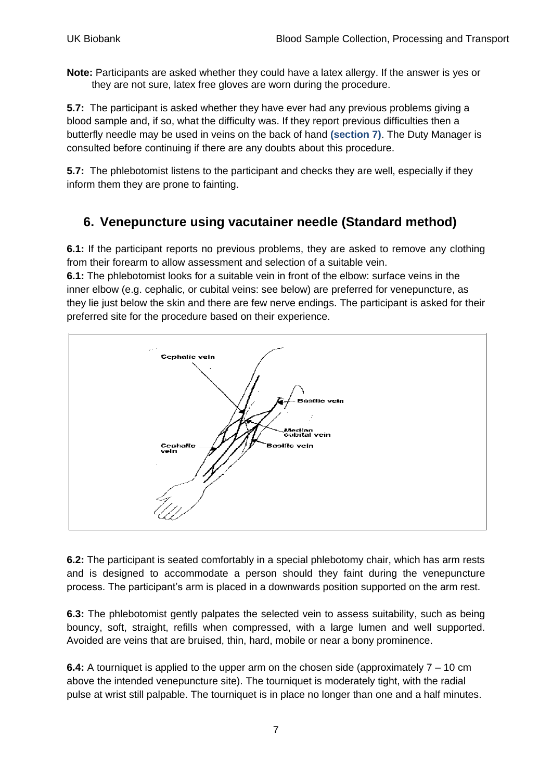**Note:** Participants are asked whether they could have a latex allergy. If the answer is yes or they are not sure, latex free gloves are worn during the procedure.

**5.7:** The participant is asked whether they have ever had any previous problems giving a blood sample and, if so, what the difficulty was. If they report previous difficulties then a butterfly needle may be used in veins on the back of hand **(section 7)**. The Duty Manager is consulted before continuing if there are any doubts about this procedure.

**5.7:** The phlebotomist listens to the participant and checks they are well, especially if they inform them they are prone to fainting.

# <span id="page-6-0"></span>**6. Venepuncture using vacutainer needle (Standard method)**

**6.1:** If the participant reports no previous problems, they are asked to remove any clothing from their forearm to allow assessment and selection of a suitable vein.

**6.1:** The phlebotomist looks for a suitable vein in front of the elbow: surface veins in the inner elbow (e.g. cephalic, or cubital veins: see below) are preferred for venepuncture, as they lie just below the skin and there are few nerve endings. The participant is asked for their preferred site for the procedure based on their experience.



**6.2:** The participant is seated comfortably in a special phlebotomy chair, which has arm rests and is designed to accommodate a person should they faint during the venepuncture process. The participant"s arm is placed in a downwards position supported on the arm rest.

**6.3:** The phlebotomist gently palpates the selected vein to assess suitability, such as being bouncy, soft, straight, refills when compressed, with a large lumen and well supported. Avoided are veins that are bruised, thin, hard, mobile or near a bony prominence.

**6.4:** A tourniquet is applied to the upper arm on the chosen side (approximately 7 – 10 cm above the intended venepuncture site). The tourniquet is moderately tight, with the radial pulse at wrist still palpable. The tourniquet is in place no longer than one and a half minutes.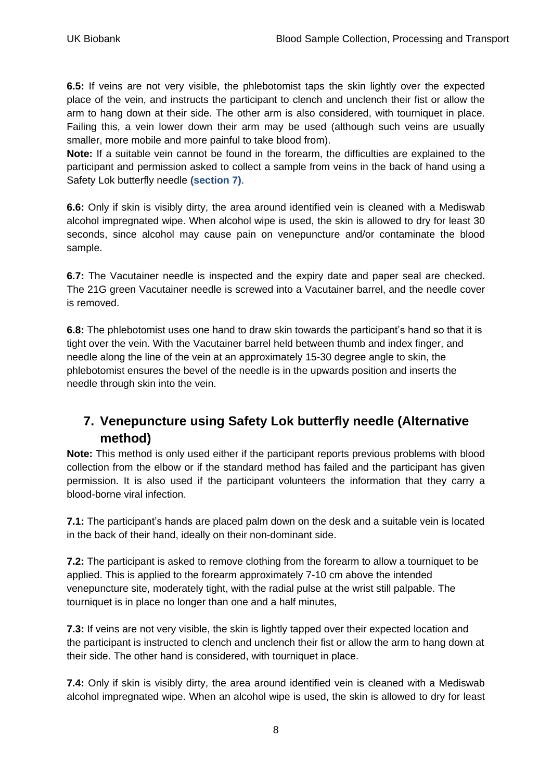**6.5:** If veins are not very visible, the phlebotomist taps the skin lightly over the expected place of the vein, and instructs the participant to clench and unclench their fist or allow the arm to hang down at their side. The other arm is also considered, with tourniquet in place. Failing this, a vein lower down their arm may be used (although such veins are usually smaller, more mobile and more painful to take blood from).

**Note:** If a suitable vein cannot be found in the forearm, the difficulties are explained to the participant and permission asked to collect a sample from veins in the back of hand using a Safety Lok butterfly needle **(section 7)**.

**6.6:** Only if skin is visibly dirty, the area around identified vein is cleaned with a Mediswab alcohol impregnated wipe. When alcohol wipe is used, the skin is allowed to dry for least 30 seconds, since alcohol may cause pain on venepuncture and/or contaminate the blood sample.

**6.7:** The Vacutainer needle is inspected and the expiry date and paper seal are checked. The 21G green Vacutainer needle is screwed into a Vacutainer barrel, and the needle cover is removed.

**6.8:** The phlebotomist uses one hand to draw skin towards the participant"s hand so that it is tight over the vein. With the Vacutainer barrel held between thumb and index finger, and needle along the line of the vein at an approximately 15-30 degree angle to skin, the phlebotomist ensures the bevel of the needle is in the upwards position and inserts the needle through skin into the vein.

# <span id="page-7-0"></span>**7. Venepuncture using Safety Lok butterfly needle (Alternative method)**

**Note:** This method is only used either if the participant reports previous problems with blood collection from the elbow or if the standard method has failed and the participant has given permission. It is also used if the participant volunteers the information that they carry a blood-borne viral infection.

**7.1:** The participant's hands are placed palm down on the desk and a suitable vein is located in the back of their hand, ideally on their non-dominant side.

**7.2:** The participant is asked to remove clothing from the forearm to allow a tourniquet to be applied. This is applied to the forearm approximately 7-10 cm above the intended venepuncture site, moderately tight, with the radial pulse at the wrist still palpable. The tourniquet is in place no longer than one and a half minutes,

**7.3:** If veins are not very visible, the skin is lightly tapped over their expected location and the participant is instructed to clench and unclench their fist or allow the arm to hang down at their side. The other hand is considered, with tourniquet in place.

**7.4:** Only if skin is visibly dirty, the area around identified vein is cleaned with a Mediswab alcohol impregnated wipe. When an alcohol wipe is used, the skin is allowed to dry for least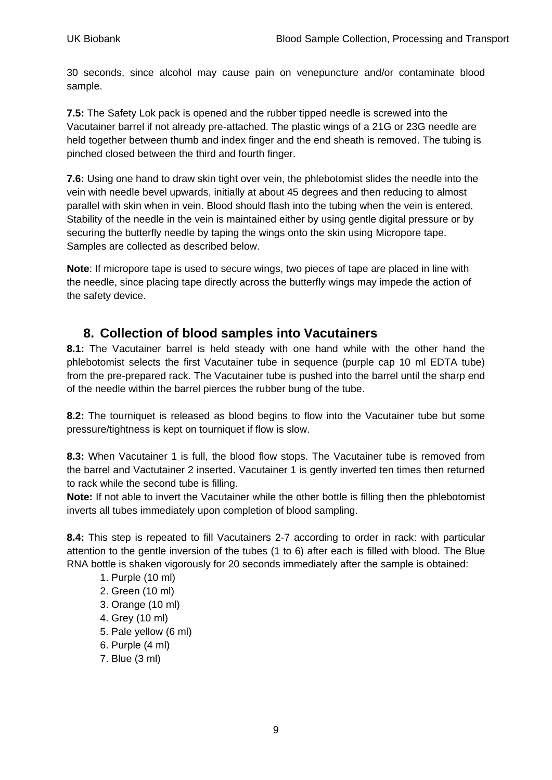30 seconds, since alcohol may cause pain on venepuncture and/or contaminate blood sample.

**7.5:** The Safety Lok pack is opened and the rubber tipped needle is screwed into the Vacutainer barrel if not already pre-attached. The plastic wings of a 21G or 23G needle are held together between thumb and index finger and the end sheath is removed. The tubing is pinched closed between the third and fourth finger.

**7.6:** Using one hand to draw skin tight over vein, the phlebotomist slides the needle into the vein with needle bevel upwards, initially at about 45 degrees and then reducing to almost parallel with skin when in vein. Blood should flash into the tubing when the vein is entered. Stability of the needle in the vein is maintained either by using gentle digital pressure or by securing the butterfly needle by taping the wings onto the skin using Micropore tape. Samples are collected as described below.

**Note**: If micropore tape is used to secure wings, two pieces of tape are placed in line with the needle, since placing tape directly across the butterfly wings may impede the action of the safety device.

#### <span id="page-8-0"></span>**8. Collection of blood samples into Vacutainers**

**8.1:** The Vacutainer barrel is held steady with one hand while with the other hand the phlebotomist selects the first Vacutainer tube in sequence (purple cap 10 ml EDTA tube) from the pre-prepared rack. The Vacutainer tube is pushed into the barrel until the sharp end of the needle within the barrel pierces the rubber bung of the tube.

**8.2:** The tourniquet is released as blood begins to flow into the Vacutainer tube but some pressure/tightness is kept on tourniquet if flow is slow.

**8.3:** When Vacutainer 1 is full, the blood flow stops. The Vacutainer tube is removed from the barrel and Vactutainer 2 inserted. Vacutainer 1 is gently inverted ten times then returned to rack while the second tube is filling.

**Note:** If not able to invert the Vacutainer while the other bottle is filling then the phlebotomist inverts all tubes immediately upon completion of blood sampling.

**8.4:** This step is repeated to fill Vacutainers 2-7 according to order in rack: with particular attention to the gentle inversion of the tubes (1 to 6) after each is filled with blood. The Blue RNA bottle is shaken vigorously for 20 seconds immediately after the sample is obtained:

- 1. Purple (10 ml)
- 2. Green (10 ml)
- 3. Orange (10 ml)
- 4. Grey (10 ml)
- 5. Pale yellow (6 ml)
- 6. Purple (4 ml)
- 7. Blue (3 ml)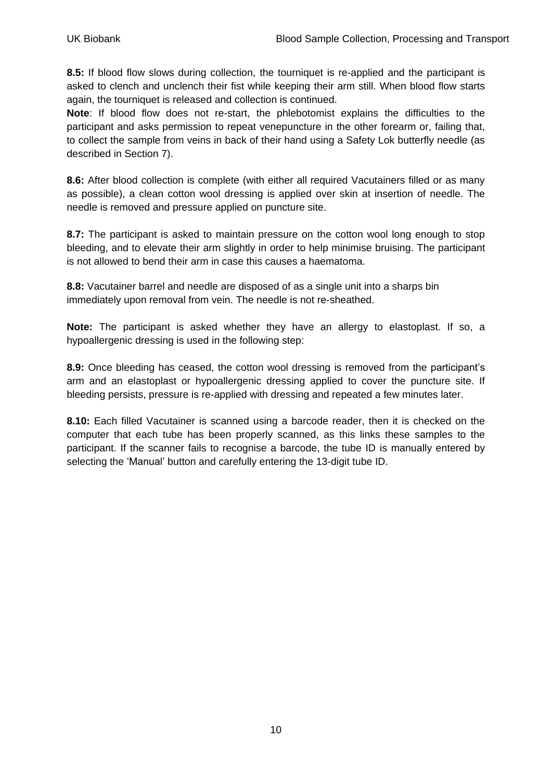**8.5:** If blood flow slows during collection, the tourniquet is re-applied and the participant is asked to clench and unclench their fist while keeping their arm still. When blood flow starts again, the tourniquet is released and collection is continued.

**Note**: If blood flow does not re-start, the phlebotomist explains the difficulties to the participant and asks permission to repeat venepuncture in the other forearm or, failing that, to collect the sample from veins in back of their hand using a Safety Lok butterfly needle (as described in Section 7).

**8.6:** After blood collection is complete (with either all required Vacutainers filled or as many as possible), a clean cotton wool dressing is applied over skin at insertion of needle. The needle is removed and pressure applied on puncture site.

**8.7:** The participant is asked to maintain pressure on the cotton wool long enough to stop bleeding, and to elevate their arm slightly in order to help minimise bruising. The participant is not allowed to bend their arm in case this causes a haematoma.

**8.8:** Vacutainer barrel and needle are disposed of as a single unit into a sharps bin immediately upon removal from vein. The needle is not re-sheathed.

**Note:** The participant is asked whether they have an allergy to elastoplast. If so, a hypoallergenic dressing is used in the following step:

**8.9:** Once bleeding has ceased, the cotton wool dressing is removed from the participant"s arm and an elastoplast or hypoallergenic dressing applied to cover the puncture site. If bleeding persists, pressure is re-applied with dressing and repeated a few minutes later.

**8.10:** Each filled Vacutainer is scanned using a barcode reader, then it is checked on the computer that each tube has been properly scanned, as this links these samples to the participant. If the scanner fails to recognise a barcode, the tube ID is manually entered by selecting the "Manual" button and carefully entering the 13-digit tube ID.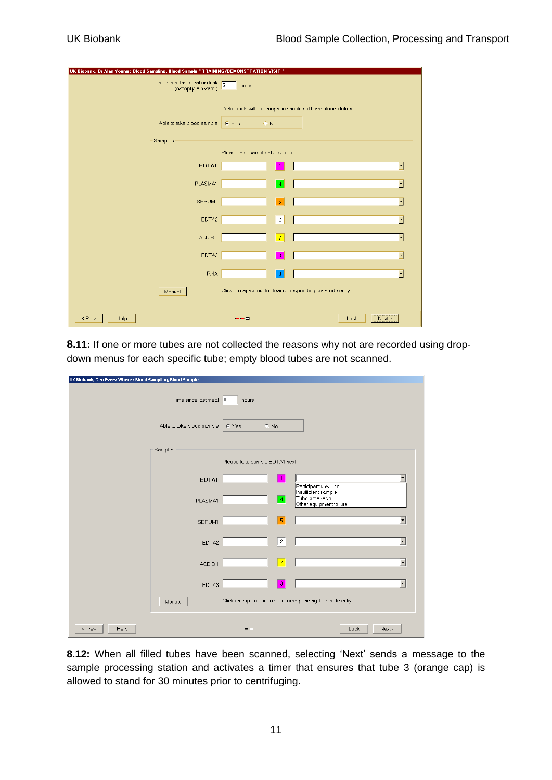| UK Biobank, Dr Alan Young : Blood Sampling, Blood Sample * TRAINING/DEMONSTRATION VISIT * |                                                                                      |  |  |
|-------------------------------------------------------------------------------------------|--------------------------------------------------------------------------------------|--|--|
| Time since last meal or drink<br>(except plain water)                                     | hours                                                                                |  |  |
| Able to take blood sample<br>Samples                                                      | Participants with haemophilia should not have bloods taken<br>$C$ No<br><b>C</b> Yes |  |  |
|                                                                                           | Please take sample EDTA1 next                                                        |  |  |
| EDTA1                                                                                     | ×                                                                                    |  |  |
| PLASMA1                                                                                   | ⊡<br>$\sqrt{4}$                                                                      |  |  |
| SERUM1                                                                                    | ▼<br>-5                                                                              |  |  |
| EDTA2                                                                                     | $\overline{2}$<br>F                                                                  |  |  |
| ACD B1                                                                                    | F<br>$\overline{7}$                                                                  |  |  |
| EDTA3                                                                                     | F<br>- 31                                                                            |  |  |
| <b>RNA</b>                                                                                | $\overline{\phantom{a}}$<br>-8                                                       |  |  |
| Manual                                                                                    | Click on cap-colour to clear corresponding bar-code entry                            |  |  |
| < Prev<br>Help                                                                            | Next ><br>Lock<br>---                                                                |  |  |

**8.11:** If one or more tubes are not collected the reasons why not are recorded using dropdown menus for each specific tube; empty blood tubes are not scanned.

| UK Biobank, Gen Every Where : Blood Sampling, Blood Sample |                            |                               |                                                           |
|------------------------------------------------------------|----------------------------|-------------------------------|-----------------------------------------------------------|
|                                                            | Time since last meal $ 8 $ | hours                         |                                                           |
|                                                            | Able to take blood sample  | $\cap$ No<br>C Yes            |                                                           |
|                                                            | Samples                    |                               |                                                           |
|                                                            |                            | Please take sample EDTA1 next |                                                           |
|                                                            | EDTA1                      | 1                             | Participant unwilling<br>Insufficient sample              |
|                                                            | PLASMA1                    | $ 4\rangle$                   | Tube breakage<br>Other equipment failure                  |
|                                                            | SERUM1                     | $5\phantom{.0}$               | $\overline{\phantom{a}}$                                  |
|                                                            | EDTA2                      | $\sqrt{2}$                    | $\overline{\phantom{0}}$                                  |
|                                                            | ACD B1                     | $\vert$ 7                     | $\overline{\phantom{a}}$                                  |
|                                                            | EDTA3                      | $\overline{3}$                | $\overline{\phantom{0}}$                                  |
|                                                            | Manual                     |                               | Click on cap-colour to clear corresponding bar-code entry |
| Help<br>< Prev                                             |                            | $ \Box$                       | Lock<br>Next >                                            |

**8.12:** When all filled tubes have been scanned, selecting "Next" sends a message to the sample processing station and activates a timer that ensures that tube 3 (orange cap) is allowed to stand for 30 minutes prior to centrifuging.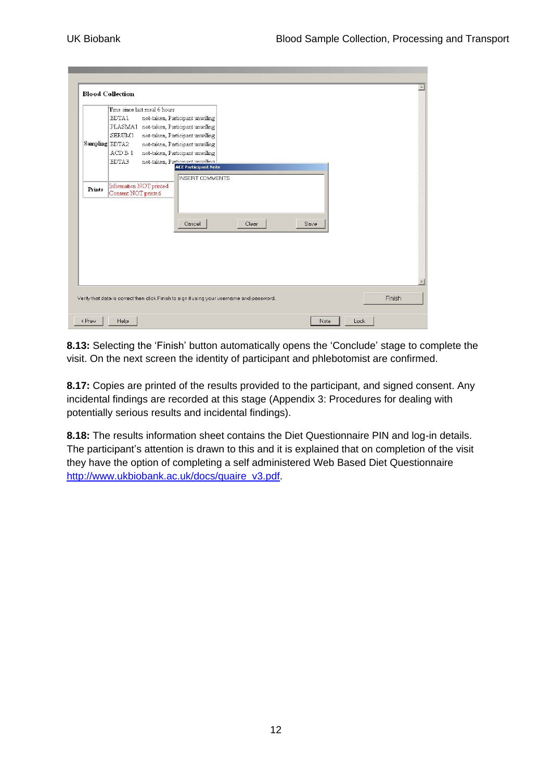|        | <b>Blood Collection</b>                                                                                                                                                                                                                                                                                                                                                                                                                                     |
|--------|-------------------------------------------------------------------------------------------------------------------------------------------------------------------------------------------------------------------------------------------------------------------------------------------------------------------------------------------------------------------------------------------------------------------------------------------------------------|
| Prints | Time since last meal 6 hours<br>EDTA1<br>not-taken, Participant unwilling<br>PLASMA1 not-taken, Participant unwilling<br>SERUM1<br>not-taken, Participant unwilling<br>Sampling EDTA2<br>not-taken, Participant unwilling<br>ACD B 1<br>not-taken, Participant unwilling<br>EDTA3<br>not-taken, Particinant unwilling<br><b>ACE Participant Note</b><br><b>INSERT COMMENTS</b><br>Information NOT printed<br>Consent NOT printed<br>Cancel<br>Clear<br>Save |
|        | Finish<br>Verify that data is correct then click Finish to sign it using your username and password.                                                                                                                                                                                                                                                                                                                                                        |

**8.13:** Selecting the 'Finish' button automatically opens the 'Conclude' stage to complete the visit. On the next screen the identity of participant and phlebotomist are confirmed.

**8.17:** Copies are printed of the results provided to the participant, and signed consent. Any incidental findings are recorded at this stage (Appendix 3: [Procedures for dealing with](#page-24-0)  [potentially serious results and incidental findings\)](#page-24-0).

**8.18:** The results information sheet contains the Diet Questionnaire PIN and log-in details. The participant's attention is drawn to this and it is explained that on completion of the visit they have the option of completing a self administered Web Based Diet Questionnaire [http://www.ukbiobank.ac.uk/docs/quaire\\_v3.pdf.](http://www.ukbiobank.ac.uk/docs/quaire_v3.pdf)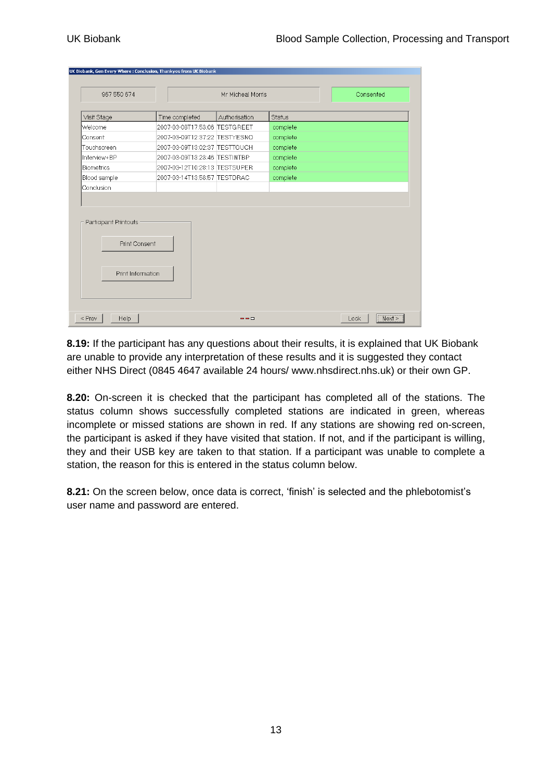| 967 550 674       |                               | Mr Micheal Morris |               | Consented |
|-------------------|-------------------------------|-------------------|---------------|-----------|
| Visit Stage       | Time completed                | Authorisation     | <b>Status</b> |           |
| Welcome           | 2007-03-08T17:53:06 TESTGREET |                   | complete      |           |
| Consent           | 2007-03-09T12:37:22 TESTYESNO |                   | complete      |           |
| Touchscreen       | 2007-03-09T13:02:37 TESTTOUCH |                   | complete      |           |
| Interview+BP      | 2007-03-09T13:23:46 TESTINTBP |                   | complete      |           |
| <b>Biometrics</b> | 2007-03-12T10:28:13 TESTSUPER |                   | complete      |           |
| Blood sample      | 2007-03-14T13:58:57 TESTDRAC  |                   | complete      |           |
| Conclusion        |                               |                   |               |           |
|                   |                               |                   |               |           |

**8.19:** If the participant has any questions about their results, it is explained that UK Biobank are unable to provide any interpretation of these results and it is suggested they contact either NHS Direct (0845 4647 available 24 hours/ www.nhsdirect.nhs.uk) or their own GP.

**8.20:** On-screen it is checked that the participant has completed all of the stations. The status column shows successfully completed stations are indicated in green, whereas incomplete or missed stations are shown in red. If any stations are showing red on-screen, the participant is asked if they have visited that station. If not, and if the participant is willing, they and their USB key are taken to that station. If a participant was unable to complete a station, the reason for this is entered in the status column below.

**8.21:** On the screen below, once data is correct, 'finish' is selected and the phlebotomist's user name and password are entered.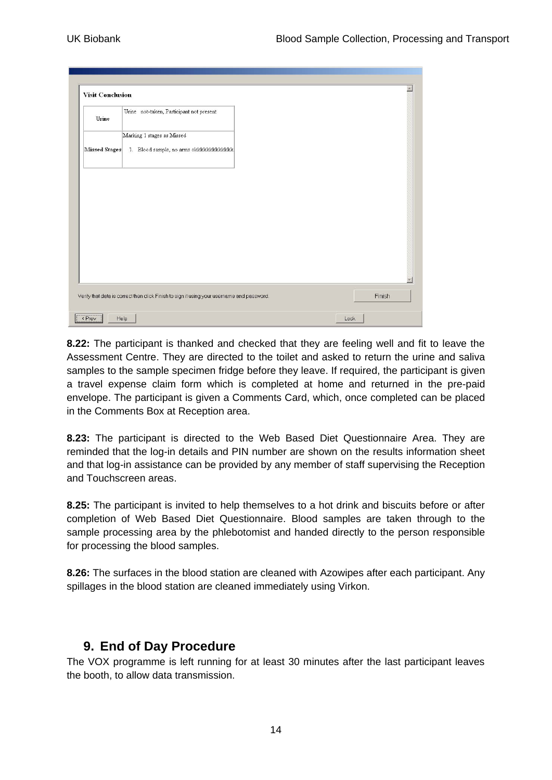| <b>Visit Conclusion</b> |                                                                                            |        |
|-------------------------|--------------------------------------------------------------------------------------------|--------|
| Urine                   | Urine not-taken, Participant not present                                                   |        |
| Missed Stages           | Marking 1 stages as Missed<br>1. Blood sample, no arms okkkkkkkkkkkkkkk                    |        |
|                         |                                                                                            |        |
|                         |                                                                                            |        |
|                         |                                                                                            |        |
|                         |                                                                                            |        |
|                         | Verify that data is correct then click Finish to sign it using your username and password. | Finish |
| <prev<br>Help</prev<br> |                                                                                            | Lock   |

**8.22:** The participant is thanked and checked that they are feeling well and fit to leave the Assessment Centre. They are directed to the toilet and asked to return the urine and saliva samples to the sample specimen fridge before they leave. If required, the participant is given a travel expense claim form which is completed at home and returned in the pre-paid envelope. The participant is given a Comments Card, which, once completed can be placed in the Comments Box at Reception area.

**8.23:** The participant is directed to the Web Based Diet Questionnaire Area. They are reminded that the log-in details and PIN number are shown on the results information sheet and that log-in assistance can be provided by any member of staff supervising the Reception and Touchscreen areas.

**8.25:** The participant is invited to help themselves to a hot drink and biscuits before or after completion of Web Based Diet Questionnaire. Blood samples are taken through to the sample processing area by the phlebotomist and handed directly to the person responsible for processing the blood samples.

**8.26:** The surfaces in the blood station are cleaned with Azowipes after each participant. Any spillages in the blood station are cleaned immediately using Virkon.

#### <span id="page-13-0"></span>**9. End of Day Procedure**

The VOX programme is left running for at least 30 minutes after the last participant leaves the booth, to allow data transmission.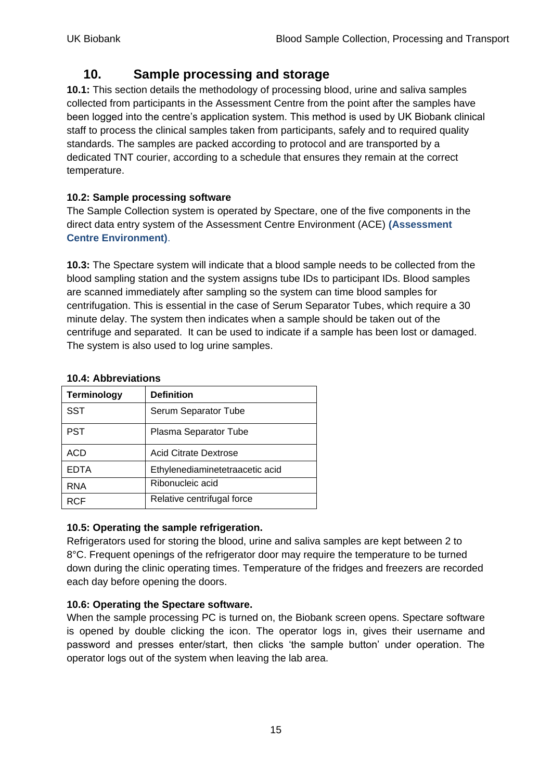# **10. Sample processing and storage**

<span id="page-14-0"></span>**10.1:** This section details the methodology of processing blood, urine and saliva samples collected from participants in the Assessment Centre from the point after the samples have been logged into the centre"s application system. This method is used by UK Biobank clinical staff to process the clinical samples taken from participants, safely and to required quality standards. The samples are packed according to protocol and are transported by a dedicated TNT courier, according to a schedule that ensures they remain at the correct temperature.

#### **10.2: Sample processing software**

The Sample Collection system is operated by Spectare, one of the five components in the direct data entry system of the Assessment Centre Environment (ACE) **(Assessment Centre Environment)**.

**10.3:** The Spectare system will indicate that a blood sample needs to be collected from the blood sampling station and the system assigns tube IDs to participant IDs. Blood samples are scanned immediately after sampling so the system can time blood samples for centrifugation. This is essential in the case of Serum Separator Tubes, which require a 30 minute delay. The system then indicates when a sample should be taken out of the centrifuge and separated. It can be used to indicate if a sample has been lost or damaged. The system is also used to log urine samples.

| 19.7. ADDICTHUIS   |                                 |
|--------------------|---------------------------------|
| <b>Terminology</b> | <b>Definition</b>               |
| <b>SST</b>         | Serum Separator Tube            |
| <b>PST</b>         | Plasma Separator Tube           |
| ACD                | Acid Citrate Dextrose           |
| <b>EDTA</b>        | Ethylenediaminetetraacetic acid |
| <b>RNA</b>         | Ribonucleic acid                |
| <b>RCF</b>         | Relative centrifugal force      |

#### **10.4: Abbreviations**

#### **10.5: Operating the sample refrigeration.**

Refrigerators used for storing the blood, urine and saliva samples are kept between 2 to 8°C. Frequent openings of the refrigerator door may require the temperature to be turned down during the clinic operating times. Temperature of the fridges and freezers are recorded each day before opening the doors.

#### **10.6: Operating the Spectare software.**

When the sample processing PC is turned on, the Biobank screen opens. Spectare software is opened by double clicking the icon. The operator logs in, gives their username and password and presses enter/start, then clicks "the sample button" under operation. The operator logs out of the system when leaving the lab area.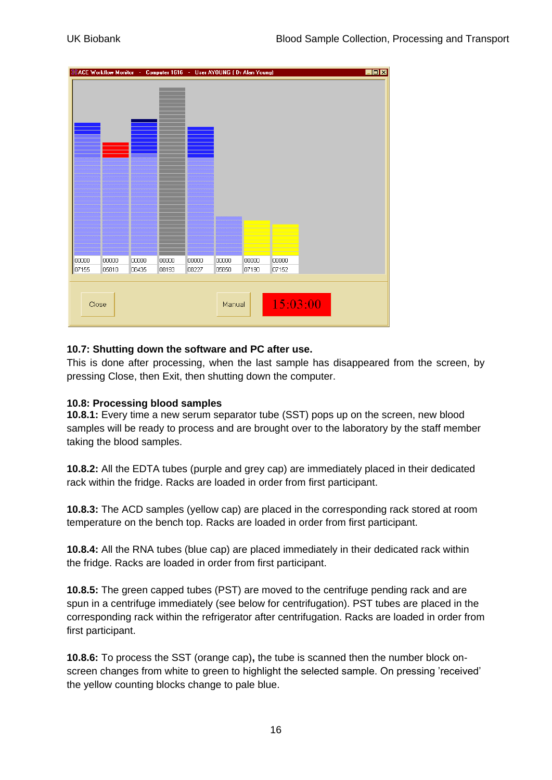

#### **10.7: Shutting down the software and PC after use.**

This is done after processing, when the last sample has disappeared from the screen, by pressing Close, then Exit, then shutting down the computer.

#### **10.8: Processing blood samples**

**10.8.1:** Every time a new serum separator tube (SST) pops up on the screen, new blood samples will be ready to process and are brought over to the laboratory by the staff member taking the blood samples.

**10.8.2:** All the EDTA tubes (purple and grey cap) are immediately placed in their dedicated rack within the fridge. Racks are loaded in order from first participant.

**10.8.3:** The ACD samples (yellow cap) are placed in the corresponding rack stored at room temperature on the bench top. Racks are loaded in order from first participant.

**10.8.4:** All the RNA tubes (blue cap) are placed immediately in their dedicated rack within the fridge. Racks are loaded in order from first participant.

**10.8.5:** The green capped tubes (PST) are moved to the centrifuge pending rack and are spun in a centrifuge immediately (see below for centrifugation). PST tubes are placed in the corresponding rack within the refrigerator after centrifugation. Racks are loaded in order from first participant.

**10.8.6:** To process the SST (orange cap)**,** the tube is scanned then the number block onscreen changes from white to green to highlight the selected sample. On pressing 'received' the yellow counting blocks change to pale blue.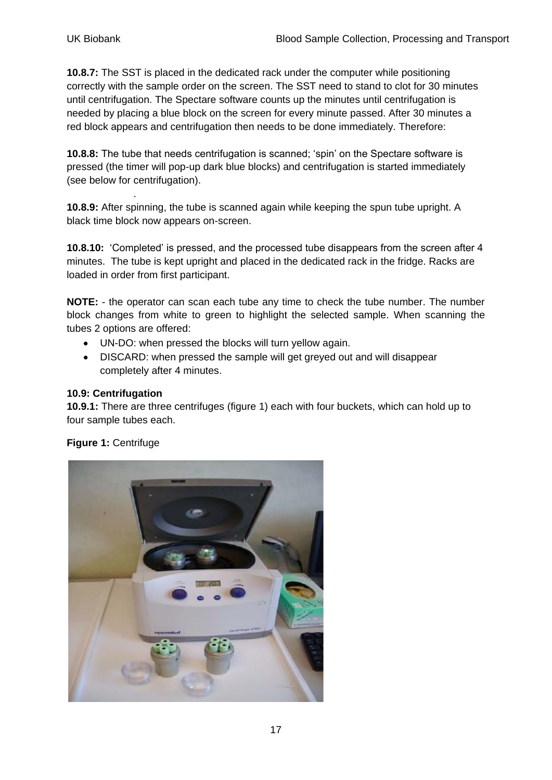**10.8.7:** The SST is placed in the dedicated rack under the computer while positioning correctly with the sample order on the screen. The SST need to stand to clot for 30 minutes until centrifugation. The Spectare software counts up the minutes until centrifugation is needed by placing a blue block on the screen for every minute passed. After 30 minutes a red block appears and centrifugation then needs to be done immediately. Therefore:

**10.8.8:** The tube that needs centrifugation is scanned; "spin" on the Spectare software is pressed (the timer will pop-up dark blue blocks) and centrifugation is started immediately (see below for centrifugation).

**10.8.9:** After spinning, the tube is scanned again while keeping the spun tube upright. A black time block now appears on-screen.

**10.8.10:** 'Completed' is pressed, and the processed tube disappears from the screen after 4 minutes. The tube is kept upright and placed in the dedicated rack in the fridge. Racks are loaded in order from first participant.

**NOTE:** - the operator can scan each tube any time to check the tube number. The number block changes from white to green to highlight the selected sample. When scanning the tubes 2 options are offered:

- UN-DO: when pressed the blocks will turn yellow again.
- DISCARD: when pressed the sample will get greyed out and will disappear completely after 4 minutes.

#### **10.9: Centrifugation**

.

**10.9.1:** There are three centrifuges (figure 1) each with four buckets, which can hold up to four sample tubes each.

#### **Figure 1:** Centrifuge

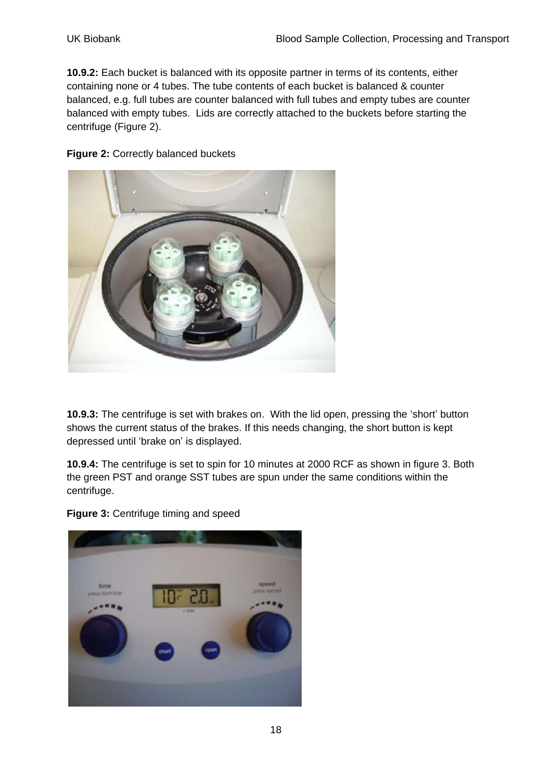**10.9.2:** Each bucket is balanced with its opposite partner in terms of its contents, either containing none or 4 tubes. The tube contents of each bucket is balanced & counter balanced, e.g. full tubes are counter balanced with full tubes and empty tubes are counter balanced with empty tubes. Lids are correctly attached to the buckets before starting the centrifuge (Figure 2).

**Figure 2:** Correctly balanced buckets



**10.9.3:** The centrifuge is set with brakes on. With the lid open, pressing the "short" button shows the current status of the brakes. If this needs changing, the short button is kept depressed until "brake on" is displayed.

**10.9.4:** The centrifuge is set to spin for 10 minutes at 2000 RCF as shown in figure 3. Both the green PST and orange SST tubes are spun under the same conditions within the centrifuge.

**Figure 3:** Centrifuge timing and speed

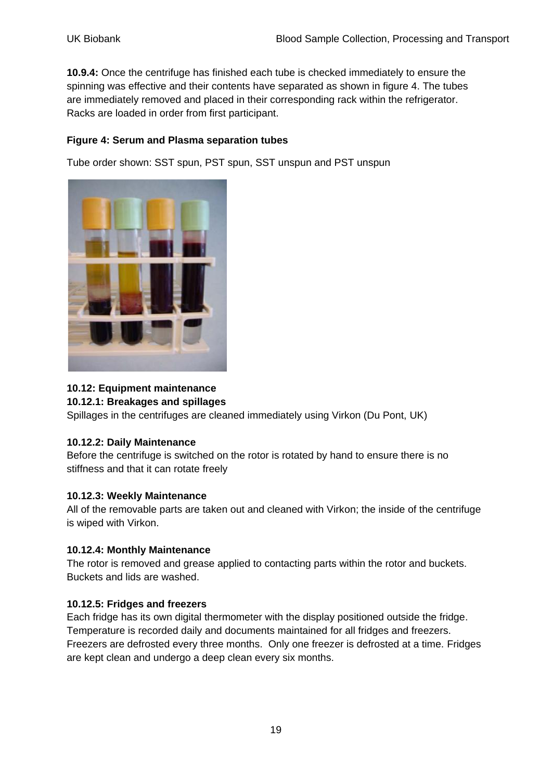**10.9.4:** Once the centrifuge has finished each tube is checked immediately to ensure the spinning was effective and their contents have separated as shown in figure 4. The tubes are immediately removed and placed in their corresponding rack within the refrigerator. Racks are loaded in order from first participant.

#### **Figure 4: Serum and Plasma separation tubes**

Tube order shown: SST spun, PST spun, SST unspun and PST unspun



#### **10.12: Equipment maintenance**

#### **10.12.1: Breakages and spillages**

Spillages in the centrifuges are cleaned immediately using Virkon (Du Pont, UK)

#### **10.12.2: Daily Maintenance**

Before the centrifuge is switched on the rotor is rotated by hand to ensure there is no stiffness and that it can rotate freely

#### **10.12.3: Weekly Maintenance**

All of the removable parts are taken out and cleaned with Virkon; the inside of the centrifuge is wiped with Virkon.

#### **10.12.4: Monthly Maintenance**

The rotor is removed and grease applied to contacting parts within the rotor and buckets. Buckets and lids are washed.

#### **10.12.5: Fridges and freezers**

Each fridge has its own digital thermometer with the display positioned outside the fridge. Temperature is recorded daily and documents maintained for all fridges and freezers. Freezers are defrosted every three months. Only one freezer is defrosted at a time. Fridges are kept clean and undergo a deep clean every six months.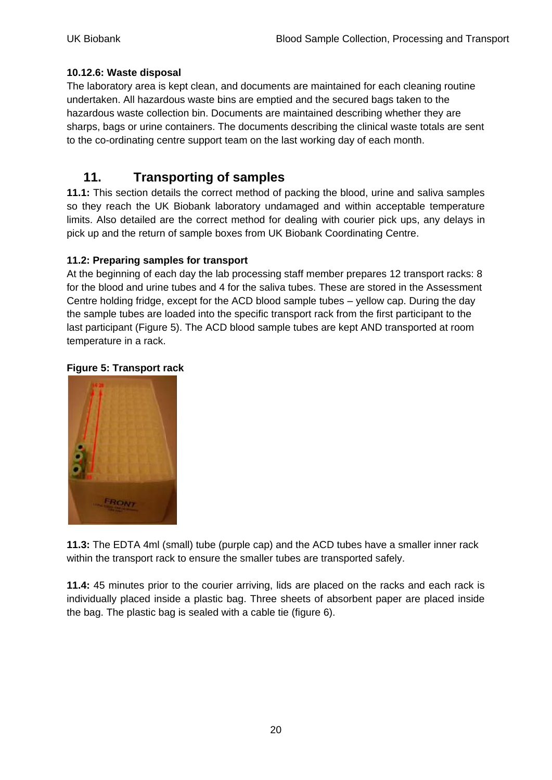#### **10.12.6: Waste disposal**

The laboratory area is kept clean, and documents are maintained for each cleaning routine undertaken. All hazardous waste bins are emptied and the secured bags taken to the hazardous waste collection bin. Documents are maintained describing whether they are sharps, bags or urine containers. The documents describing the clinical waste totals are sent to the co-ordinating centre support team on the last working day of each month.

# <span id="page-19-0"></span>**11. Transporting of samples**

**11.1:** This section details the correct method of packing the blood, urine and saliva samples so they reach the UK Biobank laboratory undamaged and within acceptable temperature limits. Also detailed are the correct method for dealing with courier pick ups, any delays in pick up and the return of sample boxes from UK Biobank Coordinating Centre.

#### **11.2: Preparing samples for transport**

At the beginning of each day the lab processing staff member prepares 12 transport racks: 8 for the blood and urine tubes and 4 for the saliva tubes. These are stored in the Assessment Centre holding fridge, except for the ACD blood sample tubes – yellow cap. During the day the sample tubes are loaded into the specific transport rack from the first participant to the last participant (Figure 5). The ACD blood sample tubes are kept AND transported at room temperature in a rack.

#### **Figure 5: Transport rack**



**11.3:** The EDTA 4ml (small) tube (purple cap) and the ACD tubes have a smaller inner rack within the transport rack to ensure the smaller tubes are transported safely.

**11.4:** 45 minutes prior to the courier arriving, lids are placed on the racks and each rack is individually placed inside a plastic bag. Three sheets of absorbent paper are placed inside the bag. The plastic bag is sealed with a cable tie (figure 6).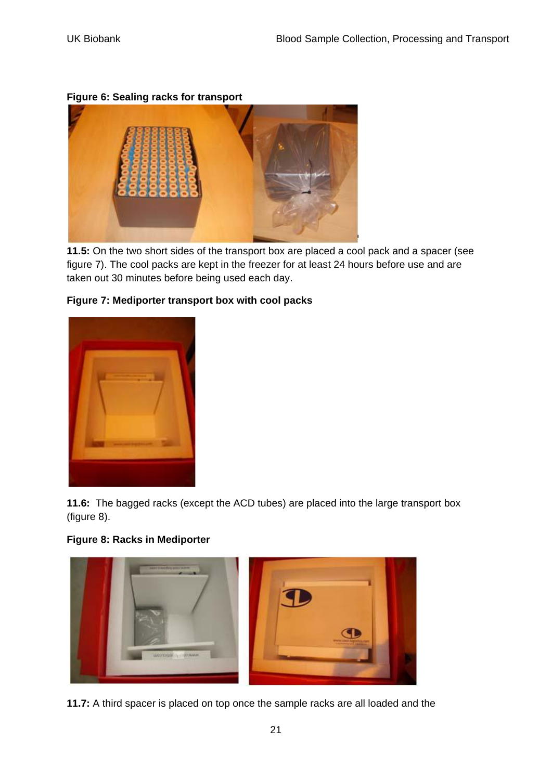**Figure 6: Sealing racks for transport**



**11.5:** On the two short sides of the transport box are placed a cool pack and a spacer (see figure 7). The cool packs are kept in the freezer for at least 24 hours before use and are taken out 30 minutes before being used each day.



#### **Figure 7: Mediporter transport box with cool packs**

**11.6:** The bagged racks (except the ACD tubes) are placed into the large transport box (figure 8).





**11.7:** A third spacer is placed on top once the sample racks are all loaded and the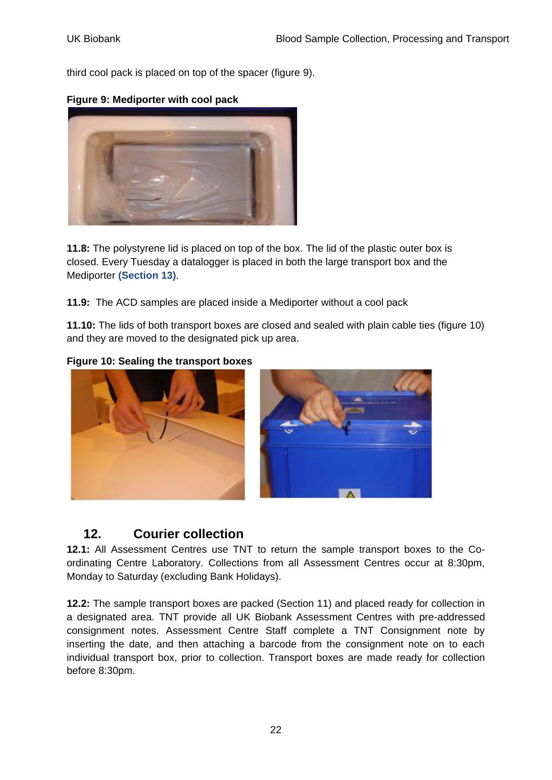third cool pack is placed on top of the spacer (figure 9).



**Figure 9: Mediporter with cool pack**

**11.8:** The polystyrene lid is placed on top of the box. The lid of the plastic outer box is closed. Every Tuesday a datalogger is placed in both the large transport box and the Mediporter **(Section 13)**.

**11.9:** The ACD samples are placed inside a Mediporter without a cool pack

**11.10:** The lids of both transport boxes are closed and sealed with plain cable ties (figure 10) and they are moved to the designated pick up area.







# <span id="page-21-0"></span>**12. Courier collection**

**12.1:** All Assessment Centres use TNT to return the sample transport boxes to the Coordinating Centre Laboratory. Collections from all Assessment Centres occur at 8:30pm, Monday to Saturday (excluding Bank Holidays).

**12.2:** The sample transport boxes are packed (Section 11) and placed ready for collection in a designated area. TNT provide all UK Biobank Assessment Centres with pre-addressed consignment notes. Assessment Centre Staff complete a TNT Consignment note by inserting the date, and then attaching a barcode from the consignment note on to each individual transport box, prior to collection. Transport boxes are made ready for collection before 8:30pm.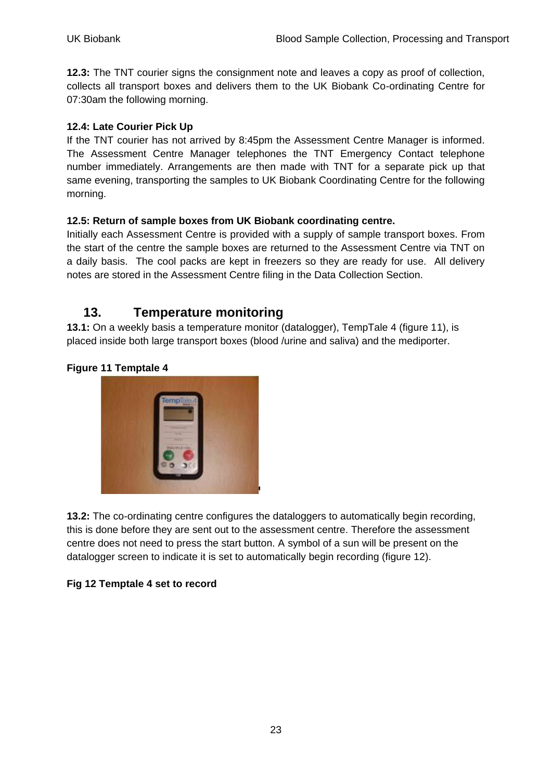**12.3:** The TNT courier signs the consignment note and leaves a copy as proof of collection, collects all transport boxes and delivers them to the UK Biobank Co-ordinating Centre for 07:30am the following morning.

#### **12.4: Late Courier Pick Up**

If the TNT courier has not arrived by 8:45pm the Assessment Centre Manager is informed. The Assessment Centre Manager telephones the TNT Emergency Contact telephone number immediately. Arrangements are then made with TNT for a separate pick up that same evening, transporting the samples to UK Biobank Coordinating Centre for the following morning.

#### **12.5: Return of sample boxes from UK Biobank coordinating centre.**

Initially each Assessment Centre is provided with a supply of sample transport boxes. From the start of the centre the sample boxes are returned to the Assessment Centre via TNT on a daily basis. The cool packs are kept in freezers so they are ready for use. All delivery notes are stored in the Assessment Centre filing in the Data Collection Section.

## <span id="page-22-0"></span>**13. Temperature monitoring**

**13.1:** On a weekly basis a temperature monitor (datalogger), TempTale 4 (figure 11), is placed inside both large transport boxes (blood /urine and saliva) and the mediporter.

#### **Figure 11 Temptale 4**



**13.2:** The co-ordinating centre configures the dataloggers to automatically begin recording, this is done before they are sent out to the assessment centre. Therefore the assessment centre does not need to press the start button. A symbol of a sun will be present on the datalogger screen to indicate it is set to automatically begin recording (figure 12).

#### **Fig 12 Temptale 4 set to record**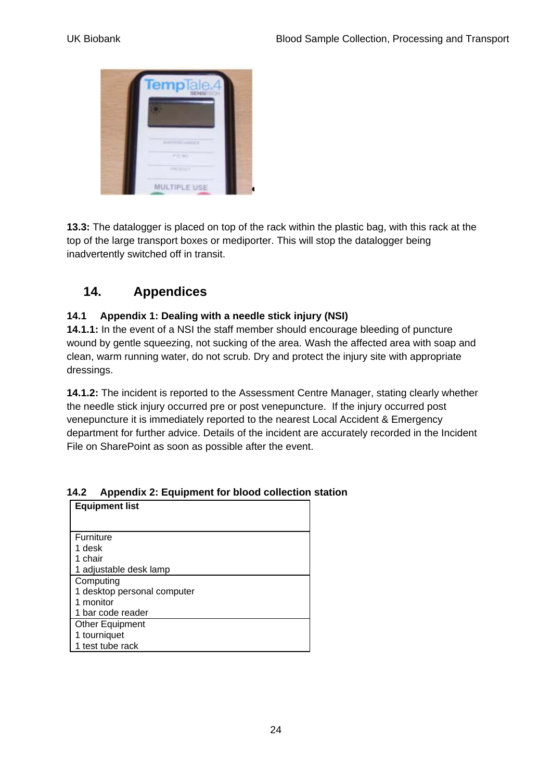

**13.3:** The datalogger is placed on top of the rack within the plastic bag, with this rack at the top of the large transport boxes or mediporter. This will stop the datalogger being inadvertently switched off in transit.

# <span id="page-23-0"></span>**14. Appendices**

#### <span id="page-23-1"></span>**14.1 Appendix 1: Dealing with a needle stick injury (NSI)**

**14.1.1:** In the event of a NSI the staff member should encourage bleeding of puncture wound by gentle squeezing, not sucking of the area. Wash the affected area with soap and clean, warm running water, do not scrub. Dry and protect the injury site with appropriate dressings.

**14.1.2:** The incident is reported to the Assessment Centre Manager, stating clearly whether the needle stick injury occurred pre or post venepuncture. If the injury occurred post venepuncture it is immediately reported to the nearest Local Accident & Emergency department for further advice. Details of the incident are accurately recorded in the Incident File on SharePoint as soon as possible after the event.

| <b>Equipment list</b>       |  |
|-----------------------------|--|
|                             |  |
| Furniture                   |  |
| 1 desk                      |  |
| 1 chair                     |  |
| 1 adjustable desk lamp      |  |
| Computing                   |  |
| 1 desktop personal computer |  |
| 1 monitor                   |  |
| 1 bar code reader           |  |
| <b>Other Equipment</b>      |  |
| 1 tourniquet                |  |
| 1 test tube rack            |  |

#### <span id="page-23-2"></span>**14.2 Appendix 2: Equipment for blood collection station**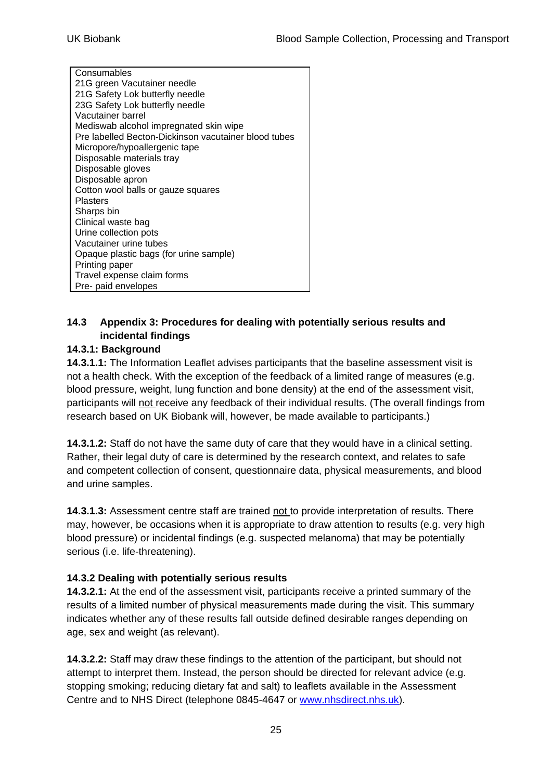**Consumables** 21G green Vacutainer needle 21G Safety Lok butterfly needle 23G Safety Lok butterfly needle Vacutainer barrel Mediswab alcohol impregnated skin wipe Pre labelled Becton-Dickinson vacutainer blood tubes Micropore/hypoallergenic tape Disposable materials tray Disposable gloves Disposable apron Cotton wool balls or gauze squares Plasters Sharps bin Clinical waste bag Urine collection pots Vacutainer urine tubes Opaque plastic bags (for urine sample) Printing paper Travel expense claim forms Pre- paid envelopes

#### <span id="page-24-0"></span>**14.3 Appendix 3: Procedures for dealing with potentially serious results and incidental findings**

#### **14.3.1: Background**

**14.3.1.1:** The Information Leaflet advises participants that the baseline assessment visit is not a health check. With the exception of the feedback of a limited range of measures (e.g. blood pressure, weight, lung function and bone density) at the end of the assessment visit, participants will not receive any feedback of their individual results. (The overall findings from research based on UK Biobank will, however, be made available to participants.)

**14.3.1.2:** Staff do not have the same duty of care that they would have in a clinical setting. Rather, their legal duty of care is determined by the research context, and relates to safe and competent collection of consent, questionnaire data, physical measurements, and blood and urine samples.

**14.3.1.3:** Assessment centre staff are trained not to provide interpretation of results. There may, however, be occasions when it is appropriate to draw attention to results (e.g. very high blood pressure) or incidental findings (e.g. suspected melanoma) that may be potentially serious (i.e. life-threatening).

#### **14.3.2 Dealing with potentially serious results**

**14.3.2.1:** At the end of the assessment visit, participants receive a printed summary of the results of a limited number of physical measurements made during the visit. This summary indicates whether any of these results fall outside defined desirable ranges depending on age, sex and weight (as relevant).

**14.3.2.2:** Staff may draw these findings to the attention of the participant, but should not attempt to interpret them. Instead, the person should be directed for relevant advice (e.g. stopping smoking; reducing dietary fat and salt) to leaflets available in the Assessment Centre and to NHS Direct (telephone 0845-4647 or [www.nhsdirect.nhs.uk\)](http://www.nhsdirect.nhs.uk/).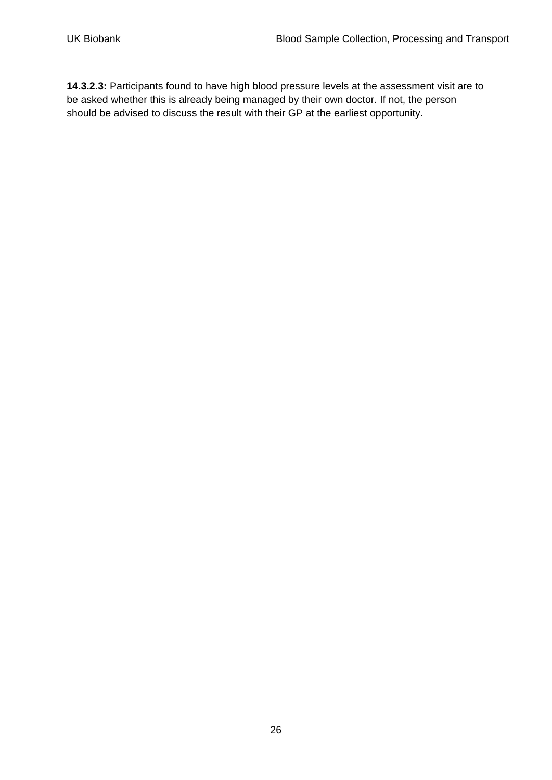**14.3.2.3:** Participants found to have high blood pressure levels at the assessment visit are to be asked whether this is already being managed by their own doctor. If not, the person should be advised to discuss the result with their GP at the earliest opportunity.